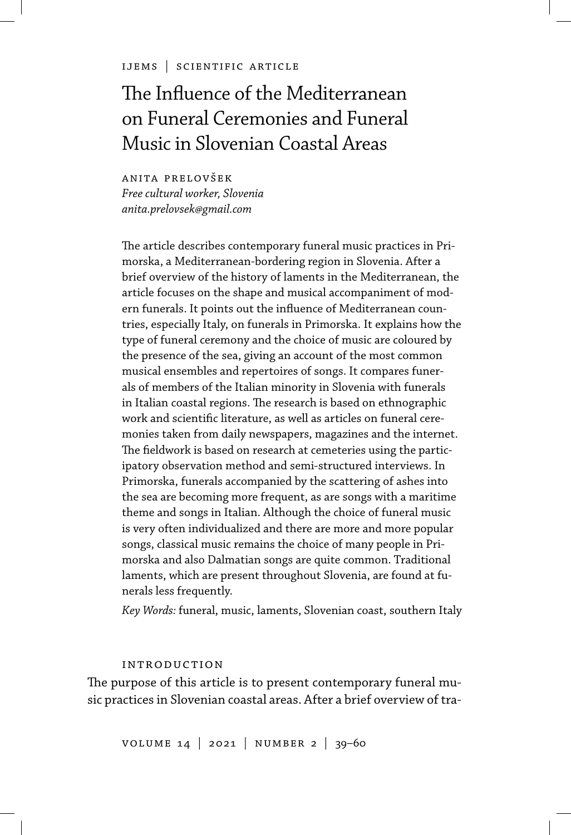#### ijems | scientific article

# The Influence of the Mediterranean on Funeral Ceremonies and Funeral Music in Slovenian Coastal Areas

anita prelovšek *Free cultural worker, Slovenia anita.prelovsek@gmail.com*

The article describes contemporary funeral music practices in Primorska, a Mediterranean-bordering region in Slovenia. After a brief overview of the history of laments in the Mediterranean, the article focuses on the shape and musical accompaniment of modern funerals. It points out the influence of Mediterranean countries, especially Italy, on funerals in Primorska. It explains how the type of funeral ceremony and the choice of music are coloured by the presence of the sea, giving an account of the most common musical ensembles and repertoires of songs. It compares funerals of members of the Italian minority in Slovenia with funerals in Italian coastal regions. The research is based on ethnographic work and scientific literature, as well as articles on funeral ceremonies taken from daily newspapers, magazines and the internet. The fieldwork is based on research at cemeteries using the participatory observation method and semi-structured interviews. In Primorska, funerals accompanied by the scattering of ashes into the sea are becoming more frequent, as are songs with a maritime theme and songs in Italian. Although the choice of funeral music is very often individualized and there are more and more popular songs, classical music remains the choice of many people in Primorska and also Dalmatian songs are quite common. Traditional laments, which are present throughout Slovenia, are found at funerals less frequently.

*Key Words:* funeral, music, laments, Slovenian coast, southern Italy

#### introduction

The purpose of this article is to present contemporary funeral music practices in Slovenian coastal areas. After a brief overview of tra-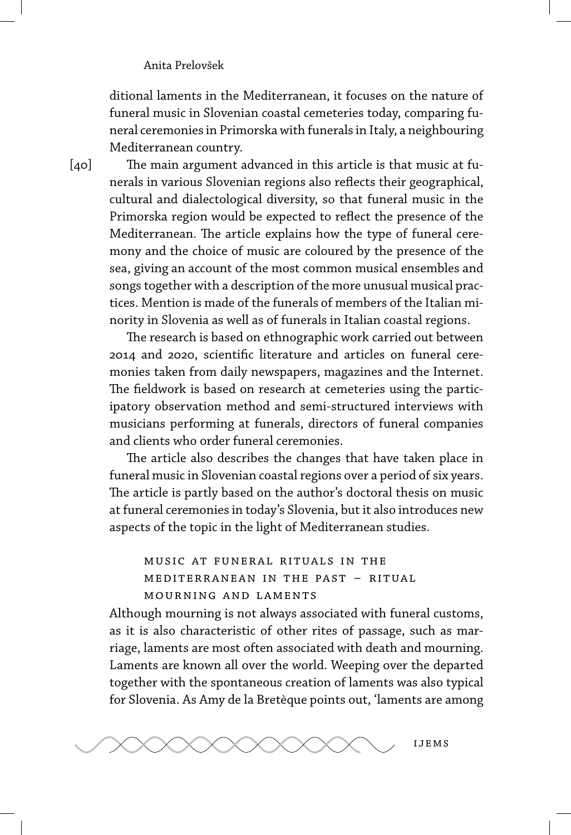ditional laments in the Mediterranean, it focuses on the nature of funeral music in Slovenian coastal cemeteries today, comparing funeral ceremonies in Primorska with funerals in Italy, a neighbouring Mediterranean country.

 $[40]$ 

The main argument advanced in this article is that music at funerals in various Slovenian regions also reflects their geographical, cultural and dialectological diversity, so that funeral music in the Primorska region would be expected to reflect the presence of the Mediterranean. The article explains how the type of funeral ceremony and the choice of music are coloured by the presence of the sea, giving an account of the most common musical ensembles and songs together with a description of the more unusual musical practices. Mention is made of the funerals of members of the Italian minority in Slovenia as well as of funerals in Italian coastal regions.

The research is based on ethnographic work carried out between 2014 and 2020, scientific literature and articles on funeral ceremonies taken from daily newspapers, magazines and the Internet. The fieldwork is based on research at cemeteries using the participatory observation method and semi-structured interviews with musicians performing at funerals, directors of funeral companies and clients who order funeral ceremonies.

The article also describes the changes that have taken place in funeral music in Slovenian coastal regions over a period of six years. The article is partly based on the author's doctoral thesis on music at funeral ceremonies in today's Slovenia, but it also introduces new aspects of the topic in the light of Mediterranean studies.

music at funeral rituals in the mediterranean in the past – ritual mourning and laments

Although mourning is not always associated with funeral customs, as it is also characteristic of other rites of passage, such as marriage, laments are most often associated with death and mourning. Laments are known all over the world. Weeping over the departed together with the spontaneous creation of laments was also typical for Slovenia. As Amy de la Bretèque points out, 'laments are among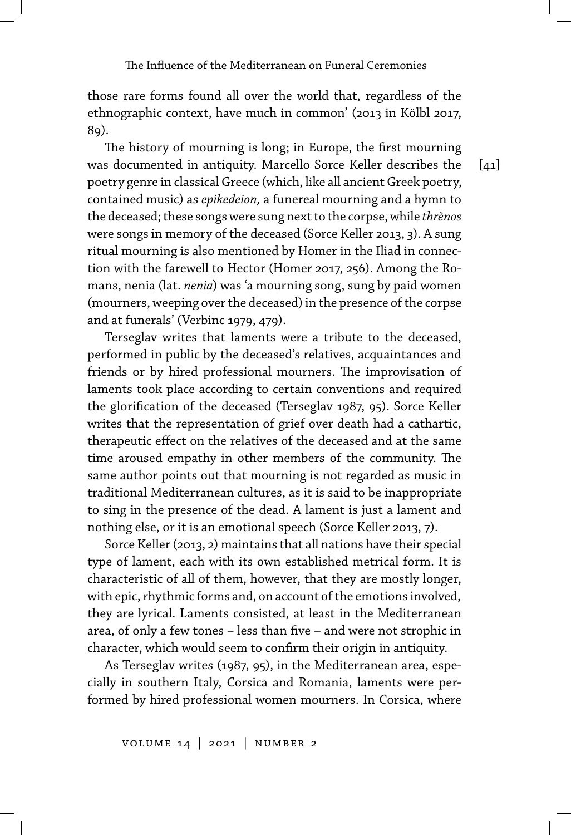those rare forms found all over the world that, regardless of the ethnographic context, have much in common' (2013 in Kölbl 2017, 89).

The history of mourning is long; in Europe, the first mourning was documented in antiquity. Marcello Sorce Keller describes the poetry genre in classical Greece (which, like all ancient Greek poetry, contained music) as *epikedeion,* a funereal mourning and a hymn to the deceased; these songs were sung next to the corpse, while *thrènos* were songs in memory of the deceased (Sorce Keller 2013, 3). A sung ritual mourning is also mentioned by Homer in the Iliad in connection with the farewell to Hector (Homer 2017, 256). Among the Romans, nenia (lat. *nenia*) was 'a mourning song, sung by paid women (mourners, weeping over the deceased) in the presence of the corpse and at funerals' (Verbinc 1979, 479).

Terseglav writes that laments were a tribute to the deceased, performed in public by the deceased's relatives, acquaintances and friends or by hired professional mourners. The improvisation of laments took place according to certain conventions and required the glorification of the deceased (Terseglav 1987, 95). Sorce Keller writes that the representation of grief over death had a cathartic, therapeutic effect on the relatives of the deceased and at the same time aroused empathy in other members of the community. The same author points out that mourning is not regarded as music in traditional Mediterranean cultures, as it is said to be inappropriate to sing in the presence of the dead. A lament is just a lament and nothing else, or it is an emotional speech (Sorce Keller 2013, 7).

Sorce Keller (2013, 2) maintains that all nations have their special type of lament, each with its own established metrical form. It is characteristic of all of them, however, that they are mostly longer, with epic, rhythmic forms and, on account of the emotions involved, they are lyrical. Laments consisted, at least in the Mediterranean area, of only a few tones – less than five – and were not strophic in character, which would seem to confirm their origin in antiquity.

As Terseglav writes (1987, 95), in the Mediterranean area, especially in southern Italy, Corsica and Romania, laments were performed by hired professional women mourners. In Corsica, where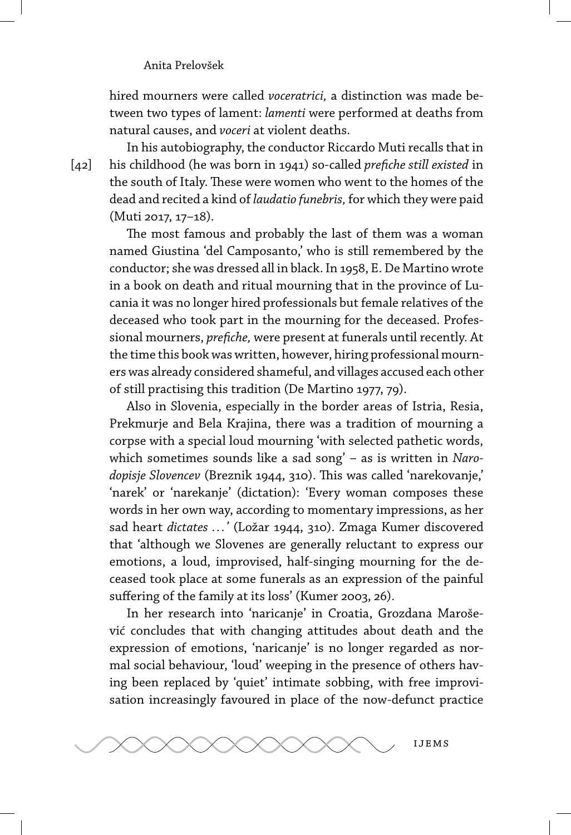hired mourners were called *voceratrici,* a distinction was made between two types of lament: *lamenti* were performed at deaths from natural causes, and *voceri* at violent deaths.

In his autobiography, the conductor Riccardo Muti recalls that in his childhood (he was born in 1941) so-called *prefiche still existed* in the south of Italy. These were women who went to the homes of the dead and recited a kind of *laudatio funebris,* for which they were paid (Muti 2017, 17–18).

The most famous and probably the last of them was a woman named Giustina 'del Camposanto,' who is still remembered by the conductor; she was dressed all in black. In 1958, E. De Martino wrote in a book on death and ritual mourning that in the province of Lucania it was no longer hired professionals but female relatives of the deceased who took part in the mourning for the deceased. Professional mourners, *prefiche,* were present at funerals until recently. At the time this book was written, however, hiring professional mourners was already considered shameful, and villages accused each other of still practising this tradition (De Martino 1977, 79).

Also in Slovenia, especially in the border areas of Istria, Resia, Prekmurje and Bela Krajina, there was a tradition of mourning a corpse with a special loud mourning 'with selected pathetic words, which sometimes sounds like a sad song' – as is written in *Narodopisje Slovencev* (Breznik 1944, 310). This was called 'narekovanje,' 'narek' or 'narekanje' (dictation): 'Every woman composes these words in her own way, according to momentary impressions, as her sad heart *dictates ... '* (Ložar 1944, 310). Zmaga Kumer discovered that 'although we Slovenes are generally reluctant to express our emotions, a loud, improvised, half-singing mourning for the deceased took place at some funerals as an expression of the painful suffering of the family at its loss' (Kumer 2003, 26).

In her research into 'naricanje' in Croatia, Grozdana Marošević concludes that with changing attitudes about death and the expression of emotions, 'naricanje' is no longer regarded as normal social behaviour, 'loud' weeping in the presence of others having been replaced by 'quiet' intimate sobbing, with free improvisation increasingly favoured in place of the now-defunct practice



[42]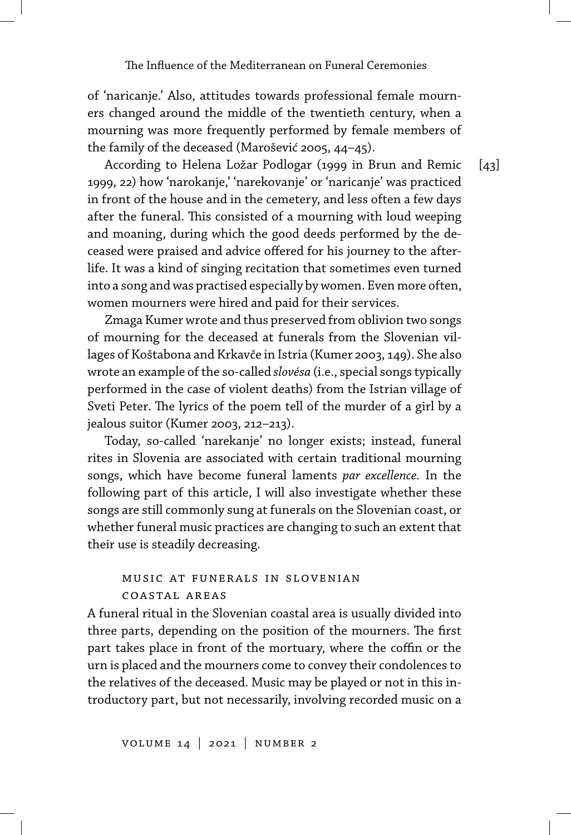of 'naricanje.' Also, attitudes towards professional female mourners changed around the middle of the twentieth century, when a mourning was more frequently performed by female members of the family of the deceased (Marošević 2005, 44–45).

According to Helena Ložar Podlogar (1999 in Brun and Remic 1999, 22) how 'narokanje,' 'narekovanje' or 'naricanje' was practiced in front of the house and in the cemetery, and less often a few days after the funeral. This consisted of a mourning with loud weeping and moaning, during which the good deeds performed by the deceased were praised and advice offered for his journey to the afterlife. It was a kind of singing recitation that sometimes even turned into a song and was practised especially by women. Even more often, women mourners were hired and paid for their services.

Zmaga Kumer wrote and thus preserved from oblivion two songs of mourning for the deceased at funerals from the Slovenian villages of Koštabona and Krkavče in Istria (Kumer 2003, 149). She also wrote an example of the so-called *slovésa* (i.e., special songs typically performed in the case of violent deaths) from the Istrian village of Sveti Peter. The lyrics of the poem tell of the murder of a girl by a jealous suitor (Kumer 2003, 212–213).

Today, so-called 'narekanje' no longer exists; instead, funeral rites in Slovenia are associated with certain traditional mourning songs, which have become funeral laments *par excellence.* In the following part of this article, I will also investigate whether these songs are still commonly sung at funerals on the Slovenian coast, or whether funeral music practices are changing to such an extent that their use is steadily decreasing.

## music at funerals in slovenian coastal areas

A funeral ritual in the Slovenian coastal area is usually divided into three parts, depending on the position of the mourners. The first part takes place in front of the mortuary, where the coffin or the urn is placed and the mourners come to convey their condolences to the relatives of the deceased. Music may be played or not in this introductory part, but not necessarily, involving recorded music on a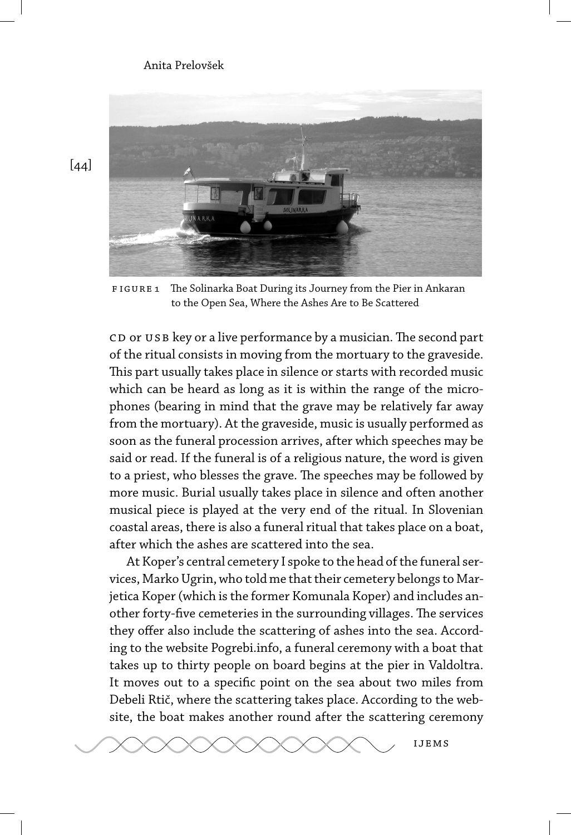

FIGURE 1 The Solinarka Boat During its Journey from the Pier in Ankaran to the Open Sea, Where the Ashes Are to Be Scattered

CD or USB key or a live performance by a musician. The second part of the ritual consists in moving from the mortuary to the graveside. This part usually takes place in silence or starts with recorded music which can be heard as long as it is within the range of the microphones (bearing in mind that the grave may be relatively far away from the mortuary). At the graveside, music is usually performed as soon as the funeral procession arrives, after which speeches may be said or read. If the funeral is of a religious nature, the word is given to a priest, who blesses the grave. The speeches may be followed by more music. Burial usually takes place in silence and often another musical piece is played at the very end of the ritual. In Slovenian coastal areas, there is also a funeral ritual that takes place on a boat, after which the ashes are scattered into the sea.

At Koper's central cemetery I spoke to the head of the funeral services, Marko Ugrin, who told me that their cemetery belongs to Marjetica Koper (which is the former Komunala Koper) and includes another forty-five cemeteries in the surrounding villages. The services they offer also include the scattering of ashes into the sea. According to the website Pogrebi.info, a funeral ceremony with a boat that takes up to thirty people on board begins at the pier in Valdoltra. It moves out to a specific point on the sea about two miles from Debeli Rtič, where the scattering takes place. According to the website, the boat makes another round after the scattering ceremony



[44]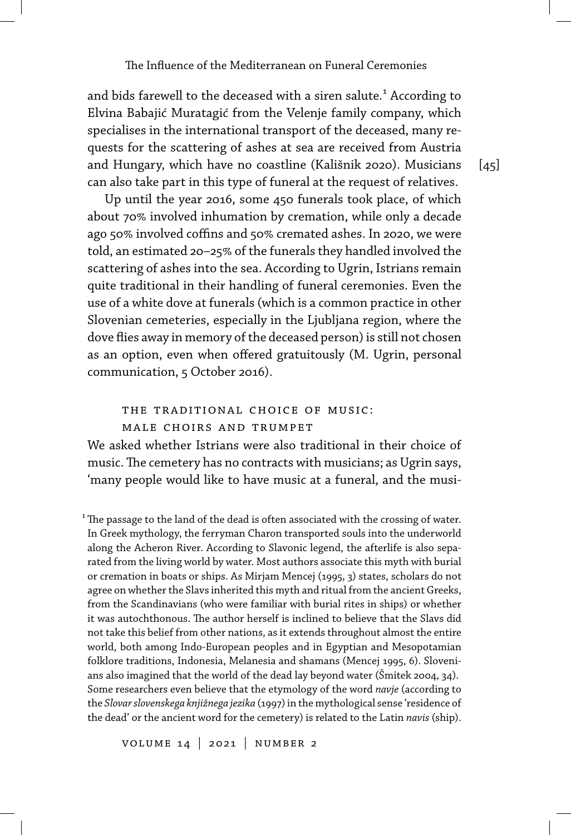and bids farewell to the deceased with a siren salute.<sup>1</sup> According to Elvina Babajić Muratagić from the Velenje family company, which specialises in the international transport of the deceased, many requests for the scattering of ashes at sea are received from Austria and Hungary, which have no coastline (Kališnik 2020). Musicians can also take part in this type of funeral at the request of relatives.

Up until the year 2016, some 450 funerals took place, of which about 70% involved inhumation by cremation, while only a decade ago 50% involved coffins and 50% cremated ashes. In 2020, we were told, an estimated 20-25% of the funerals they handled involved the scattering of ashes into the sea. According to Ugrin, Istrians remain quite traditional in their handling of funeral ceremonies. Even the use of a white dove at funerals (which is a common practice in other Slovenian cemeteries, especially in the Ljubljana region, where the dove flies away in memory of the deceased person) is still not chosen as an option, even when offered gratuitously (M. Ugrin, personal communication, 5 October 2016).

# the traditional choice of music: male choirs and trumpet

We asked whether Istrians were also traditional in their choice of music. The cemetery has no contracts with musicians; as Ugrin says, 'many people would like to have music at a funeral, and the musi-

 $1$ <sup>1</sup> The passage to the land of the dead is often associated with the crossing of water. In Greek mythology, the ferryman Charon transported souls into the underworld along the Acheron River. According to Slavonic legend, the afterlife is also separated from the living world by water. Most authors associate this myth with burial or cremation in boats or ships. As Mirjam Mencej (1995, 3) states, scholars do not agree on whether the Slavs inherited this myth and ritual from the ancient Greeks, from the Scandinavians (who were familiar with burial rites in ships) or whether it was autochthonous. The author herself is inclined to believe that the Slavs did not take this belief from other nations, as it extends throughout almost the entire world, both among Indo-European peoples and in Egyptian and Mesopotamian folklore traditions, Indonesia, Melanesia and shamans (Mencej 1995, 6). Slovenians also imagined that the world of the dead lay beyond water (Šmitek 2004, 34). Some researchers even believe that the etymology of the word *navje* (according to the *Slovar slovenskega knjižnega jezika* (1997) in the mythological sense 'residence of the dead' or the ancient word for the cemetery) is related to the Latin *navis* (ship).

volume 14 | 2021 | number 2

 $[45]$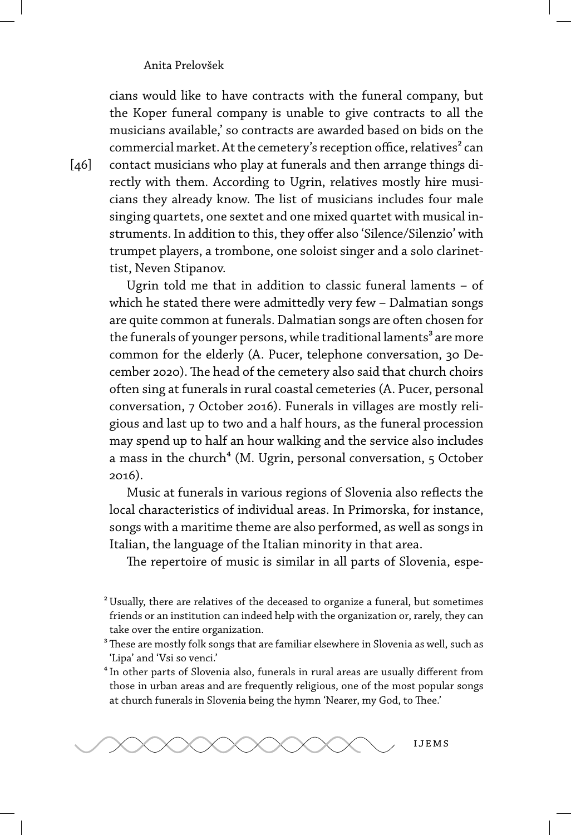cians would like to have contracts with the funeral company, but the Koper funeral company is unable to give contracts to all the musicians available,' so contracts are awarded based on bids on the commercial market. At the cemetery's reception office, relatives<sup>2</sup> can contact musicians who play at funerals and then arrange things directly with them. According to Ugrin, relatives mostly hire musicians they already know. The list of musicians includes four male singing quartets, one sextet and one mixed quartet with musical instruments. In addition to this, they offer also 'Silence/Silenzio' with trumpet players, a trombone, one soloist singer and a solo clarinettist, Neven Stipanov.

Ugrin told me that in addition to classic funeral laments – of which he stated there were admittedly very few – Dalmatian songs are quite common at funerals. Dalmatian songs are often chosen for the funerals of younger persons, while traditional laments<sup>3</sup> are more common for the elderly (A. Pucer, telephone conversation, 30 December 2020). The head of the cemetery also said that church choirs often sing at funerals in rural coastal cemeteries (A. Pucer, personal conversation, 7 October 2016). Funerals in villages are mostly religious and last up to two and a half hours, as the funeral procession may spend up to half an hour walking and the service also includes a mass in the church<sup>4</sup> (M. Ugrin, personal conversation, 5 October 2016).

Music at funerals in various regions of Slovenia also reflects the local characteristics of individual areas. In Primorska, for instance, songs with a maritime theme are also performed, as well as songs in Italian, the language of the Italian minority in that area.

The repertoire of music is similar in all parts of Slovenia, espe-

<sup>&</sup>lt;sup>4</sup> In other parts of Slovenia also, funerals in rural areas are usually different from those in urban areas and are frequently religious, one of the most popular songs at church funerals in Slovenia being the hymn 'Nearer, my God, to Thee.'



[46]

² Usually, there are relatives of the deceased to organize a funeral, but sometimes friends or an institution can indeed help with the organization or, rarely, they can take over the entire organization.

<sup>&</sup>lt;sup>3</sup> These are mostly folk songs that are familiar elsewhere in Slovenia as well, such as 'Lipa' and 'Vsi so venci.'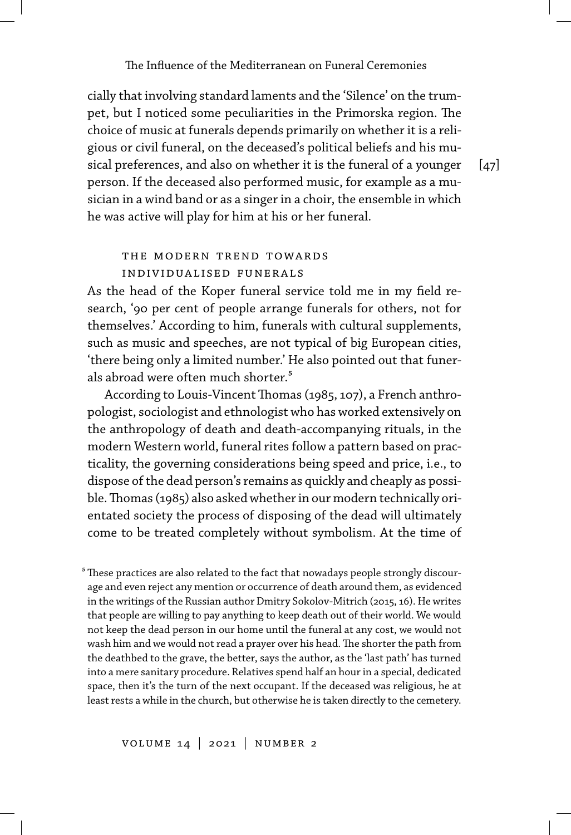cially that involving standard laments and the 'Silence' on the trumpet, but I noticed some peculiarities in the Primorska region. The choice of music at funerals depends primarily on whether it is a religious or civil funeral, on the deceased's political beliefs and his musical preferences, and also on whether it is the funeral of a younger person. If the deceased also performed music, for example as a musician in a wind band or as a singer in a choir, the ensemble in which he was active will play for him at his or her funeral.

 $\lceil 47 \rceil$ 

## the modern trend towards individualised funerals

As the head of the Koper funeral service told me in my field research, '90 per cent of people arrange funerals for others, not for themselves.' According to him, funerals with cultural supplements, such as music and speeches, are not typical of big European cities, 'there being only a limited number.' He also pointed out that funerals abroad were often much shorter.<sup>5</sup>

According to Louis-Vincent Thomas (1985, 107), a French anthropologist, sociologist and ethnologist who has worked extensively on the anthropology of death and death-accompanying rituals, in the modern Western world, funeral rites follow a pattern based on practicality, the governing considerations being speed and price, i.e., to dispose of the dead person's remains as quickly and cheaply as possible.Thomas (1985) also asked whether in our modern technically orientated society the process of disposing of the dead will ultimately come to be treated completely without symbolism. At the time of

<sup>5</sup> These practices are also related to the fact that nowadays people strongly discourage and even reject any mention or occurrence of death around them, as evidenced in the writings of the Russian author Dmitry Sokolov-Mitrich (2015, 16). He writes that people are willing to pay anything to keep death out of their world. We would not keep the dead person in our home until the funeral at any cost, we would not wash him and we would not read a prayer over his head. The shorter the path from the deathbed to the grave, the better, says the author, as the 'last path' has turned into a mere sanitary procedure. Relatives spend half an hour in a special, dedicated space, then it's the turn of the next occupant. If the deceased was religious, he at least rests a while in the church, but otherwise he is taken directly to the cemetery.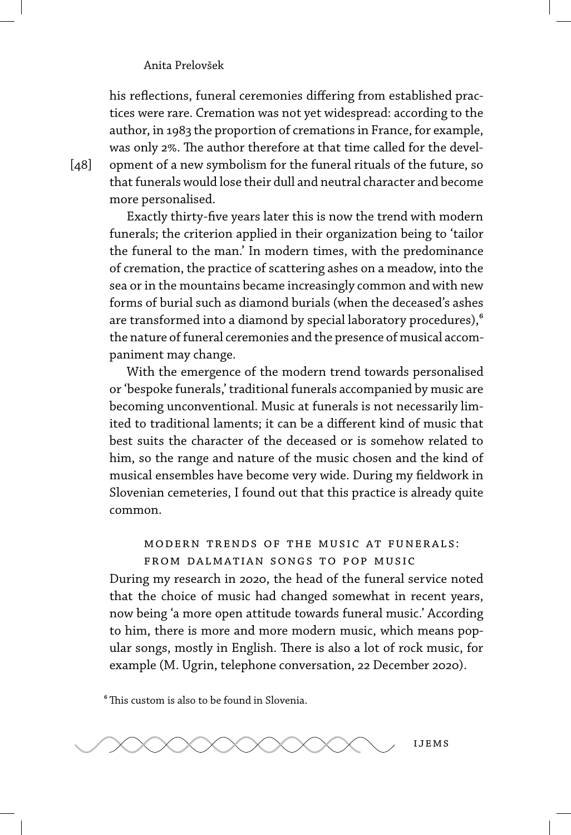his reflections, funeral ceremonies differing from established practices were rare. Cremation was not yet widespread: according to the author, in 1983 the proportion of cremations in France, for example, was only 2%. The author therefore at that time called for the development of a new symbolism for the funeral rituals of the future, so that funerals would lose their dull and neutral character and become more personalised.

Exactly thirty-five years later this is now the trend with modern funerals; the criterion applied in their organization being to 'tailor the funeral to the man.' In modern times, with the predominance of cremation, the practice of scattering ashes on a meadow, into the sea or in the mountains became increasingly common and with new forms of burial such as diamond burials (when the deceased's ashes are transformed into a diamond by special laboratory procedures),<sup>6</sup> the nature of funeral ceremonies and the presence of musical accompaniment may change.

With the emergence of the modern trend towards personalised or 'bespoke funerals,' traditional funerals accompanied by music are becoming unconventional. Music at funerals is not necessarily limited to traditional laments; it can be a different kind of music that best suits the character of the deceased or is somehow related to him, so the range and nature of the music chosen and the kind of musical ensembles have become very wide. During my fieldwork in Slovenian cemeteries, I found out that this practice is already quite common.

## modern trends of the music at funerals: from dalmatian songs to pop music

During my research in 2020, the head of the funeral service noted that the choice of music had changed somewhat in recent years, now being 'a more open attitude towards funeral music.' According to him, there is more and more modern music, which means popular songs, mostly in English. There is also a lot of rock music, for example (M. Ugrin, telephone conversation, 22 December 2020).

⁶This custom is also to be found in Slovenia.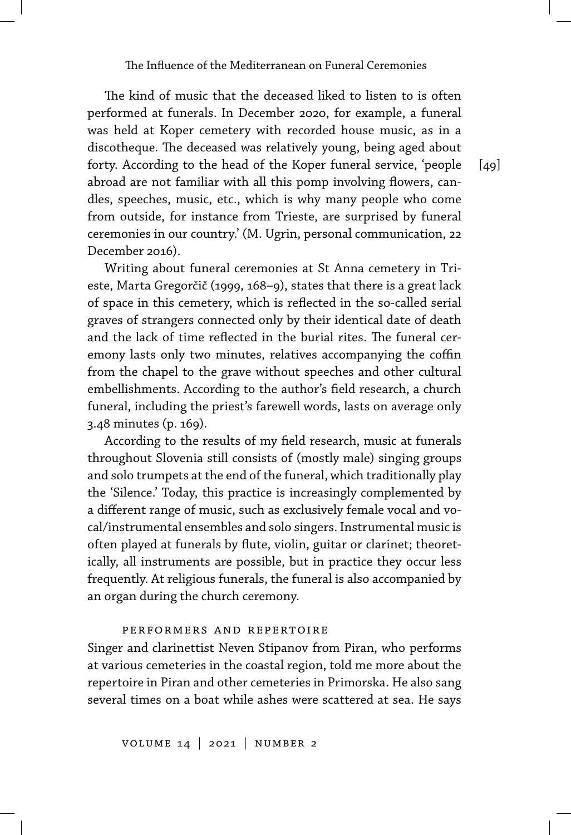The kind of music that the deceased liked to listen to is often performed at funerals. In December 2020, for example, a funeral was held at Koper cemetery with recorded house music, as in a discotheque. The deceased was relatively young, being aged about forty. According to the head of the Koper funeral service, 'people abroad are not familiar with all this pomp involving flowers, candles, speeches, music, etc., which is why many people who come from outside, for instance from Trieste, are surprised by funeral ceremonies in our country.' (M. Ugrin, personal communication, 22 December 2016).

Writing about funeral ceremonies at St Anna cemetery in Trieste, Marta Gregorčič (1999, 168–9), states that there is a great lack of space in this cemetery, which is reflected in the so-called serial graves of strangers connected only by their identical date of death and the lack of time reflected in the burial rites. The funeral ceremony lasts only two minutes, relatives accompanying the coffin from the chapel to the grave without speeches and other cultural embellishments. According to the author's field research, a church funeral, including the priest's farewell words, lasts on average only 3.48 minutes (p. 169).

According to the results of my field research, music at funerals throughout Slovenia still consists of (mostly male) singing groups and solo trumpets at the end of the funeral, which traditionally play the 'Silence.' Today, this practice is increasingly complemented by a different range of music, such as exclusively female vocal and vocal/instrumental ensembles and solo singers. Instrumental music is often played at funerals by flute, violin, guitar or clarinet; theoretically, all instruments are possible, but in practice they occur less frequently. At religious funerals, the funeral is also accompanied by an organ during the church ceremony.

#### performers and repertoire

Singer and clarinettist Neven Stipanov from Piran, who performs at various cemeteries in the coastal region, told me more about the repertoire in Piran and other cemeteries in Primorska. He also sang several times on a boat while ashes were scattered at sea. He says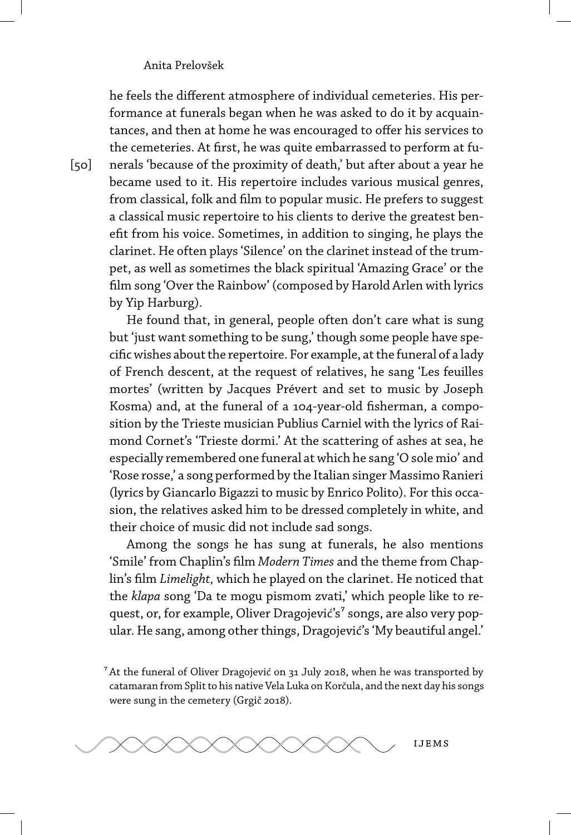he feels the different atmosphere of individual cemeteries. His performance at funerals began when he was asked to do it by acquaintances, and then at home he was encouraged to offer his services to the cemeteries. At first, he was quite embarrassed to perform at funerals 'because of the proximity of death,' but after about a year he became used to it. His repertoire includes various musical genres, from classical, folk and film to popular music. He prefers to suggest a classical music repertoire to his clients to derive the greatest benefit from his voice. Sometimes, in addition to singing, he plays the clarinet. He often plays 'Silence' on the clarinet instead of the trumpet, as well as sometimes the black spiritual 'Amazing Grace' or the film song 'Over the Rainbow' (composed by Harold Arlen with lyrics by Yip Harburg).

He found that, in general, people often don't care what is sung but 'just want something to be sung,' though some people have specific wishes about the repertoire. For example, at the funeral of a lady of French descent, at the request of relatives, he sang 'Les feuilles mortes' (written by Jacques Prévert and set to music by Joseph Kosma) and, at the funeral of a 104-year-old fisherman, a composition by the Trieste musician Publius Carniel with the lyrics of Raimond Cornet's 'Trieste dormi.' At the scattering of ashes at sea, he especially remembered one funeral at which he sang 'O sole mio' and 'Rose rosse,' a song performed by the Italian singer Massimo Ranieri (lyrics by Giancarlo Bigazzi to music by Enrico Polito). For this occasion, the relatives asked him to be dressed completely in white, and their choice of music did not include sad songs.

Among the songs he has sung at funerals, he also mentions 'Smile' from Chaplin's film *Modern Times* and the theme from Chaplin's film *Limelight,* which he played on the clarinet. He noticed that the *klapa* song 'Da te mogu pismom zvati,' which people like to request, or, for example, Oliver Dragojević's<sup>7</sup> songs, are also very popular. He sang, among other things, Dragojević's 'My beautiful angel.'

 $^7$  At the funeral of Oliver Dragojević on 31 July 2018, when he was transported by catamaran from Split to his native Vela Luka on Korčula, and the next day his songs were sung in the cemetery (Grgič 2018).



 $[50]$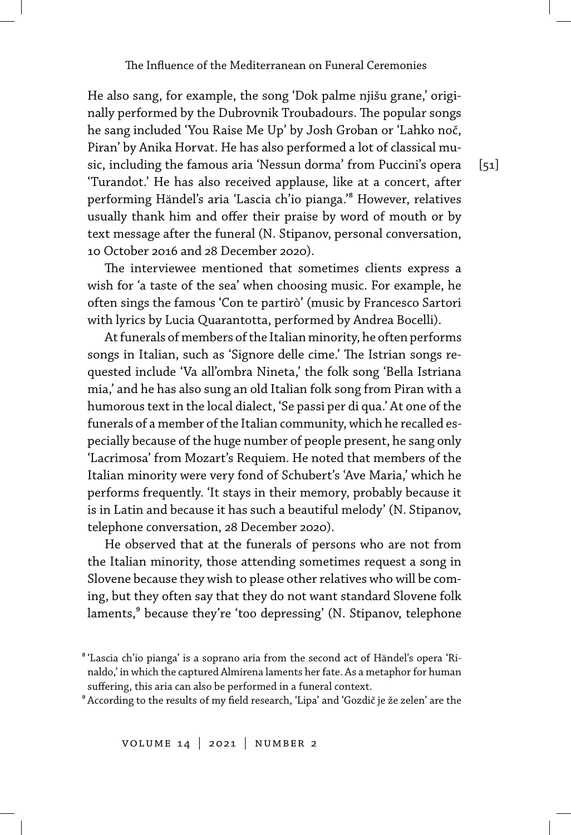He also sang, for example, the song 'Dok palme njišu grane,' originally performed by the Dubrovnik Troubadours. The popular songs he sang included 'You Raise Me Up' by Josh Groban or 'Lahko noč, Piran' by Anika Horvat. He has also performed a lot of classical music, including the famous aria 'Nessun dorma' from Puccini's opera 'Turandot.' He has also received applause, like at a concert, after performing Händel's aria 'Lascia ch'io pianga.'<sup>8</sup> However, relatives usually thank him and offer their praise by word of mouth or by text message after the funeral (N. Stipanov, personal conversation, 10 October 2016 and 28 December 2020).

The interviewee mentioned that sometimes clients express a wish for 'a taste of the sea' when choosing music. For example, he often sings the famous 'Con te partirò' (music by Francesco Sartori with lyrics by Lucia Quarantotta, performed by Andrea Bocelli).

At funerals of members of the Italian minority, he often performs songs in Italian, such as 'Signore delle cime.' The Istrian songs requested include 'Va all'ombra Nineta,' the folk song 'Bella Istriana mia,' and he has also sung an old Italian folk song from Piran with a humorous text in the local dialect, 'Se passi per di qua.' At one of the funerals of a member of the Italian community, which he recalled especially because of the huge number of people present, he sang only 'Lacrimosa' from Mozart's Requiem. He noted that members of the Italian minority were very fond of Schubert's 'Ave Maria,' which he performs frequently. 'It stays in their memory, probably because it is in Latin and because it has such a beautiful melody' (N. Stipanov, telephone conversation, 28 December 2020).

He observed that at the funerals of persons who are not from the Italian minority, those attending sometimes request a song in Slovene because they wish to please other relatives who will be coming, but they often say that they do not want standard Slovene folk laments,<sup>9</sup> because they're 'too depressing' (N. Stipanov, telephone

⁹ According to the results of my field research, 'Lipa' and 'Gozdič je že zelen' are the

⁸ 'Lascia ch'io pianga' is a soprano aria from the second act of Händel's opera 'Rinaldo,' in which the captured Almirena laments her fate. As a metaphor for human suffering, this aria can also be performed in a funeral context.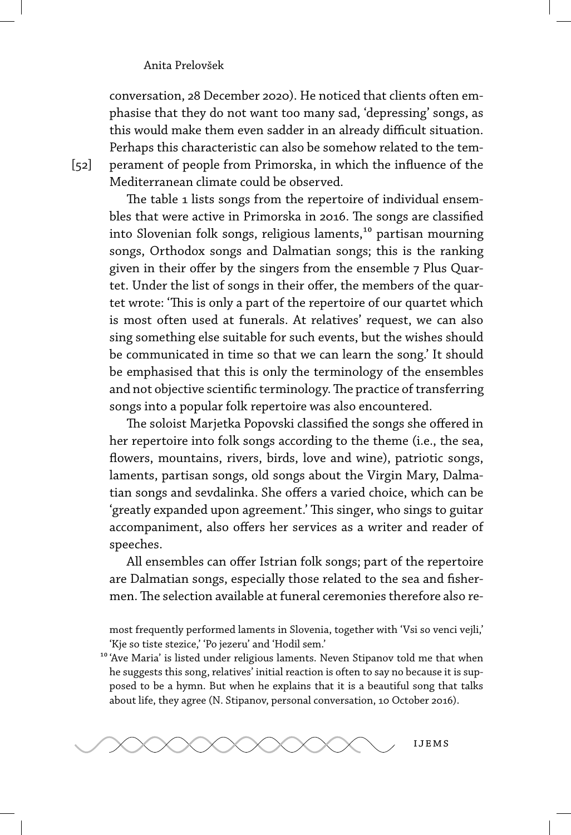conversation, 28 December 2020). He noticed that clients often emphasise that they do not want too many sad, 'depressing' songs, as this would make them even sadder in an already difficult situation. Perhaps this characteristic can also be somehow related to the temperament of people from Primorska, in which the influence of the Mediterranean climate could be observed.

The table 1 lists songs from the repertoire of individual ensembles that were active in Primorska in 2016. The songs are classified into Slovenian folk songs, religious laments,<sup>10</sup> partisan mourning songs, Orthodox songs and Dalmatian songs; this is the ranking given in their offer by the singers from the ensemble 7 Plus Quartet. Under the list of songs in their offer, the members of the quartet wrote: 'This is only a part of the repertoire of our quartet which is most often used at funerals. At relatives' request, we can also sing something else suitable for such events, but the wishes should be communicated in time so that we can learn the song.' It should be emphasised that this is only the terminology of the ensembles and not objective scientific terminology. The practice of transferring songs into a popular folk repertoire was also encountered.

The soloist Marjetka Popovski classified the songs she offered in her repertoire into folk songs according to the theme (i.e., the sea, flowers, mountains, rivers, birds, love and wine), patriotic songs, laments, partisan songs, old songs about the Virgin Mary, Dalmatian songs and sevdalinka. She offers a varied choice, which can be 'greatly expanded upon agreement.' This singer, who sings to guitar accompaniment, also offers her services as a writer and reader of speeches.

All ensembles can offer Istrian folk songs; part of the repertoire are Dalmatian songs, especially those related to the sea and fishermen. The selection available at funeral ceremonies therefore also re-

most frequently performed laments in Slovenia, together with 'Vsi so venci vejli,' 'Kje so tiste stezice,' 'Po jezeru' and 'Hodil sem.'

<sup>10</sup> 'Ave Maria' is listed under religious laments. Neven Stipanov told me that when he suggests this song, relatives' initial reaction is often to say no because it is supposed to be a hymn. But when he explains that it is a beautiful song that talks about life, they agree (N. Stipanov, personal conversation, 10 October 2016).



[52]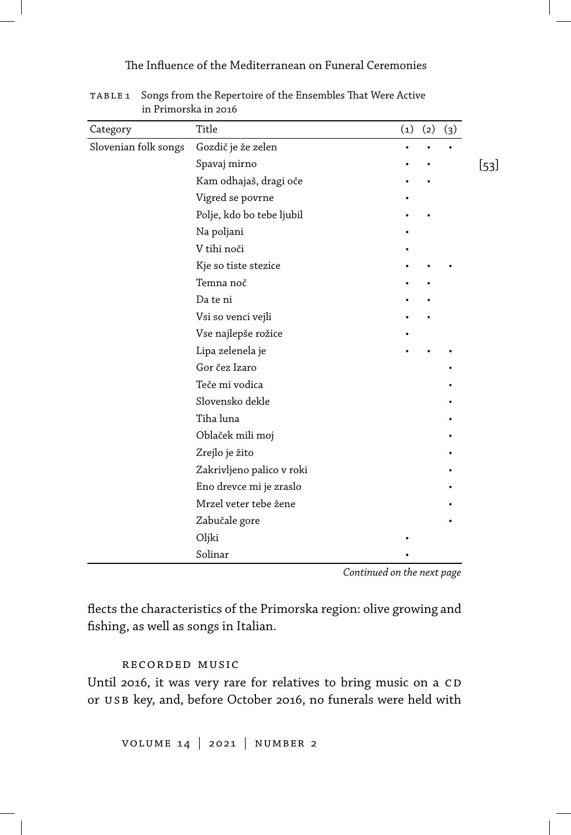### The Influence of the Mediterranean on Funeral Ceremonies

| Category             | Title                     | $\left( 1\right)$ | (2) | (3) |
|----------------------|---------------------------|-------------------|-----|-----|
| Slovenian folk songs | Gozdič je že zelen        |                   |     |     |
|                      | Spavaj mirno              |                   |     |     |
|                      | Kam odhajaš, dragi oče    |                   |     |     |
|                      | Vigred se povrne          |                   |     |     |
|                      | Polje, kdo bo tebe ljubil |                   |     |     |
|                      | Na poljani                |                   |     |     |
|                      | V tihi noči               |                   |     |     |
|                      | Kje so tiste stezice      |                   |     |     |
|                      | Temna noč                 |                   |     |     |
|                      | Da te ni                  |                   |     |     |
|                      | Vsi so venci vejli        |                   |     |     |
|                      | Vse najlepše rožice       |                   |     |     |
|                      | Lipa zelenela je          |                   |     |     |
|                      | Gor čez Izaro             |                   |     |     |
|                      | Teče mi vodica            |                   |     |     |
|                      | Slovensko dekle           |                   |     |     |
|                      | Tiha luna                 |                   |     |     |
|                      | Oblaček mili moj          |                   |     |     |
|                      | Zrejlo je žito            |                   |     |     |
|                      | Zakrivljeno palico v roki |                   |     |     |
|                      | Eno drevce mi je zraslo   |                   |     |     |
|                      | Mrzel veter tebe žene     |                   |     |     |
|                      | Zabučale gore             |                   |     |     |
|                      | Oljki                     |                   |     |     |
|                      | Solinar                   |                   |     |     |

table 1 Songs from the Repertoire of the Ensembles That Were Active in Primorska in 2016

*Continued on the next page*

flects the characteristics of the Primorska region: olive growing and fishing, as well as songs in Italian.

#### recorded music

Until 2016, it was very rare for relatives to bring music on a CD or USB key, and, before October 2016, no funerals were held with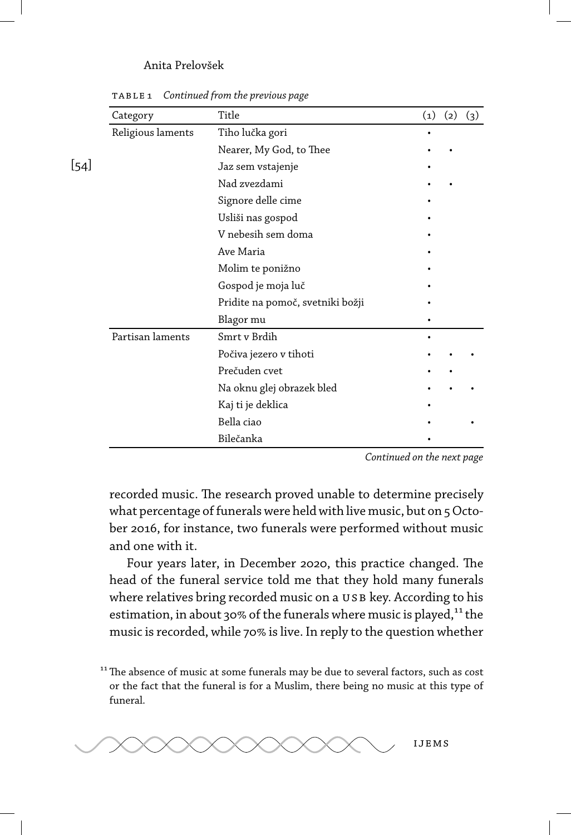$[54]$ 

| Category          | Title                            | (1) | (2) | (3) |
|-------------------|----------------------------------|-----|-----|-----|
| Religious laments | Tiho lučka gori                  |     |     |     |
|                   | Nearer, My God, to Thee          |     |     |     |
|                   | Jaz sem vstajenje                |     |     |     |
|                   | Nad zvezdami                     |     |     |     |
|                   | Signore delle cime               |     |     |     |
|                   | Usliši nas gospod                |     |     |     |
|                   | V nebesih sem doma               |     |     |     |
|                   | Ave Maria                        |     |     |     |
|                   | Molim te ponižno                 |     |     |     |
|                   | Gospod je moja luč               |     |     |     |
|                   | Pridite na pomoč, svetniki božji |     |     |     |
|                   | Blagor mu                        |     |     |     |
| Partisan laments  | Smrt v Brdih                     |     |     |     |
|                   | Počiva jezero v tihoti           |     |     |     |
|                   | Prečuden cvet                    |     |     |     |
|                   | Na oknu glej obrazek bled        |     |     |     |
|                   | Kaj ti je deklica                |     |     |     |
|                   | Bella ciao                       |     |     |     |
|                   | Bilečanka                        |     |     |     |

table 1 *Continued from the previous page*

*Continued on the next page*

recorded music. The research proved unable to determine precisely what percentage of funerals were held with live music, but on 5 October 2016, for instance, two funerals were performed without music and one with it.

Four years later, in December 2020, this practice changed. The head of the funeral service told me that they hold many funerals where relatives bring recorded music on a USB key. According to his estimation, in about 30% of the funerals where music is played, $^{11}$  the music is recorded, while 70% is live. In reply to the question whether

 $11$ <sup>11</sup> The absence of music at some funerals may be due to several factors, such as cost or the fact that the funeral is for a Muslim, there being no music at this type of funeral.

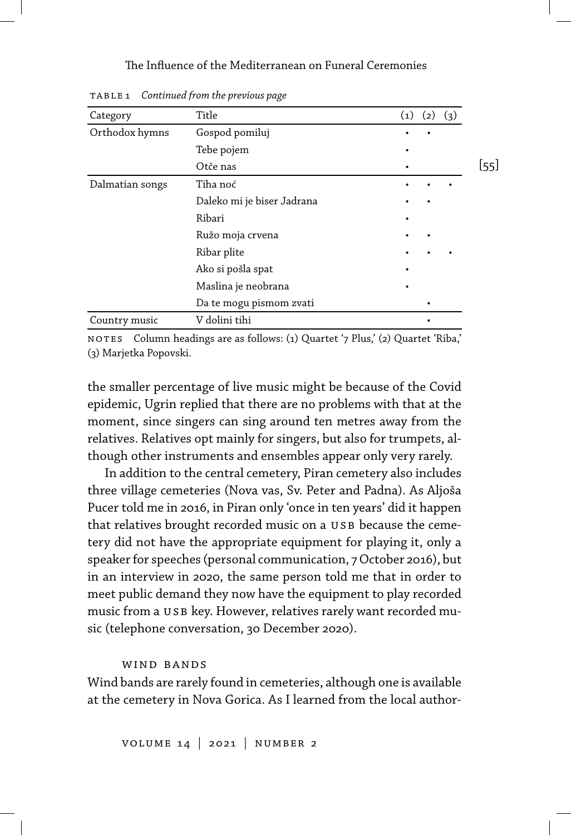#### The Influence of the Mediterranean on Funeral Ceremonies

| Category        | Title                      | (1) | (2)<br>(3) |     |
|-----------------|----------------------------|-----|------------|-----|
| Orthodox hymns  | Gospod pomiluj             |     |            |     |
|                 | Tebe pojem                 |     |            |     |
|                 | Otče nas                   |     |            | 55] |
| Dalmatian songs | Tiha noć                   |     |            |     |
|                 | Daleko mi je biser Jadrana |     |            |     |
|                 | Ribari                     |     |            |     |
|                 | Ružo moja crvena           |     |            |     |
|                 | Ribar plite                |     |            |     |
|                 | Ako si pošla spat          |     |            |     |
|                 | Maslina je neobrana        |     |            |     |
|                 | Da te mogu pismom zvati    |     |            |     |
| Country music   | V dolini tihi              |     |            |     |

table 1 *Continued from the previous page*

no tes Column headings are as follows: (1) Quartet '7 Plus,' (2) Quartet 'Riba,' (3) Marjetka Popovski.

the smaller percentage of live music might be because of the Covid epidemic, Ugrin replied that there are no problems with that at the moment, since singers can sing around ten metres away from the relatives. Relatives opt mainly for singers, but also for trumpets, although other instruments and ensembles appear only very rarely.

In addition to the central cemetery, Piran cemetery also includes three village cemeteries (Nova vas, Sv. Peter and Padna). As Aljoša Pucer told me in 2016, in Piran only 'once in ten years' did it happen that relatives brought recorded music on a USB because the cemetery did not have the appropriate equipment for playing it, only a speaker for speeches (personal communication, 7 October 2016), but in an interview in 2020, the same person told me that in order to meet public demand they now have the equipment to play recorded music from a USB key. However, relatives rarely want recorded music (telephone conversation, 30 December 2020).

#### wind bands

Wind bands are rarely found in cemeteries, although one is available at the cemetery in Nova Gorica. As I learned from the local author-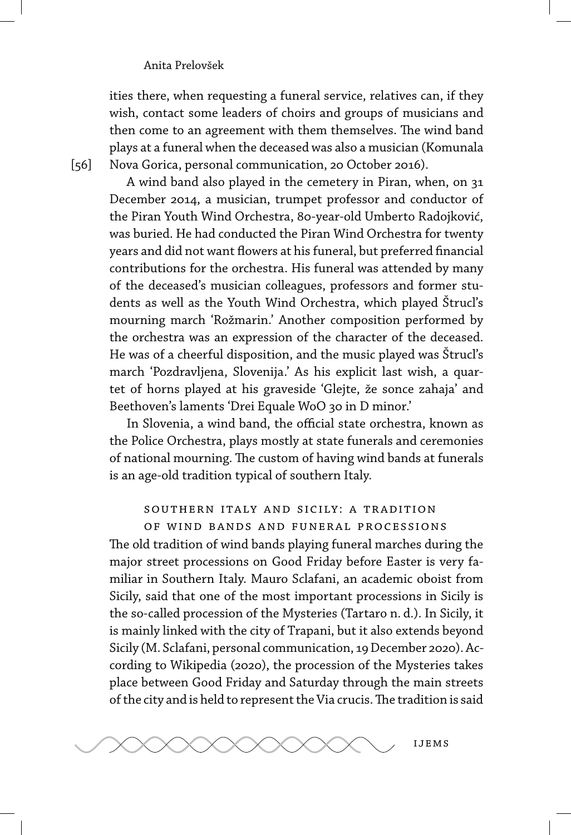[56]

ities there, when requesting a funeral service, relatives can, if they wish, contact some leaders of choirs and groups of musicians and then come to an agreement with them themselves. The wind band plays at a funeral when the deceased was also a musician (Komunala Nova Gorica, personal communication, 20 October 2016).

A wind band also played in the cemetery in Piran, when, on 31 December 2014, a musician, trumpet professor and conductor of the Piran Youth Wind Orchestra, 80-year-old Umberto Radojković, was buried. He had conducted the Piran Wind Orchestra for twenty years and did not want flowers at his funeral, but preferred financial contributions for the orchestra. His funeral was attended by many of the deceased's musician colleagues, professors and former students as well as the Youth Wind Orchestra, which played Štrucl's mourning march 'Rožmarin.' Another composition performed by the orchestra was an expression of the character of the deceased. He was of a cheerful disposition, and the music played was Štrucl's march 'Pozdravljena, Slovenija.' As his explicit last wish, a quartet of horns played at his graveside 'Glejte, že sonce zahaja' and Beethoven's laments 'Drei Equale WoO 30 in D minor.'

In Slovenia, a wind band, the official state orchestra, known as the Police Orchestra, plays mostly at state funerals and ceremonies of national mourning. The custom of having wind bands at funerals is an age-old tradition typical of southern Italy.

## southern italy and sicily: a tradition of wind bands and funeral processions

The old tradition of wind bands playing funeral marches during the major street processions on Good Friday before Easter is very familiar in Southern Italy. Mauro Sclafani, an academic oboist from Sicily, said that one of the most important processions in Sicily is the so-called procession of the Mysteries (Tartaro n. d.). In Sicily, it is mainly linked with the city of Trapani, but it also extends beyond Sicily (M. Sclafani, personal communication, 19 December 2020). According to Wikipedia (2020), the procession of the Mysteries takes place between Good Friday and Saturday through the main streets of the city and is held to represent the Via crucis.The tradition is said

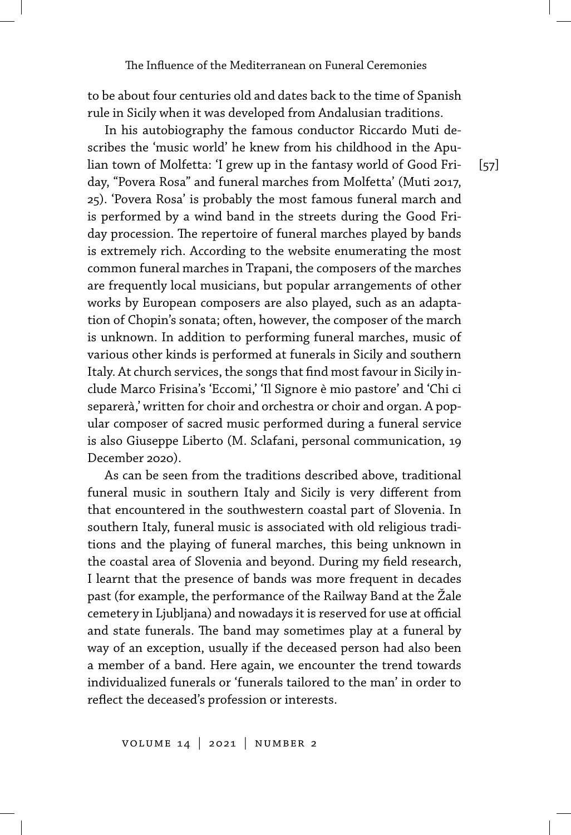to be about four centuries old and dates back to the time of Spanish rule in Sicily when it was developed from Andalusian traditions.

[57]

In his autobiography the famous conductor Riccardo Muti describes the 'music world' he knew from his childhood in the Apulian town of Molfetta: 'I grew up in the fantasy world of Good Friday, "Povera Rosa" and funeral marches from Molfetta' (Muti 2017, 25). 'Povera Rosa' is probably the most famous funeral march and is performed by a wind band in the streets during the Good Friday procession. The repertoire of funeral marches played by bands is extremely rich. According to the website enumerating the most common funeral marches in Trapani, the composers of the marches are frequently local musicians, but popular arrangements of other works by European composers are also played, such as an adaptation of Chopin's sonata; often, however, the composer of the march is unknown. In addition to performing funeral marches, music of various other kinds is performed at funerals in Sicily and southern Italy. At church services, the songs that find most favour in Sicily include Marco Frisina's 'Eccomi,' 'Il Signore è mio pastore' and 'Chi ci separerà,' written for choir and orchestra or choir and organ. A popular composer of sacred music performed during a funeral service is also Giuseppe Liberto (M. Sclafani, personal communication, 19 December 2020).

As can be seen from the traditions described above, traditional funeral music in southern Italy and Sicily is very different from that encountered in the southwestern coastal part of Slovenia. In southern Italy, funeral music is associated with old religious traditions and the playing of funeral marches, this being unknown in the coastal area of Slovenia and beyond. During my field research, I learnt that the presence of bands was more frequent in decades past (for example, the performance of the Railway Band at the Žale cemetery in Ljubljana) and nowadays it is reserved for use at official and state funerals. The band may sometimes play at a funeral by way of an exception, usually if the deceased person had also been a member of a band. Here again, we encounter the trend towards individualized funerals or 'funerals tailored to the man' in order to reflect the deceased's profession or interests.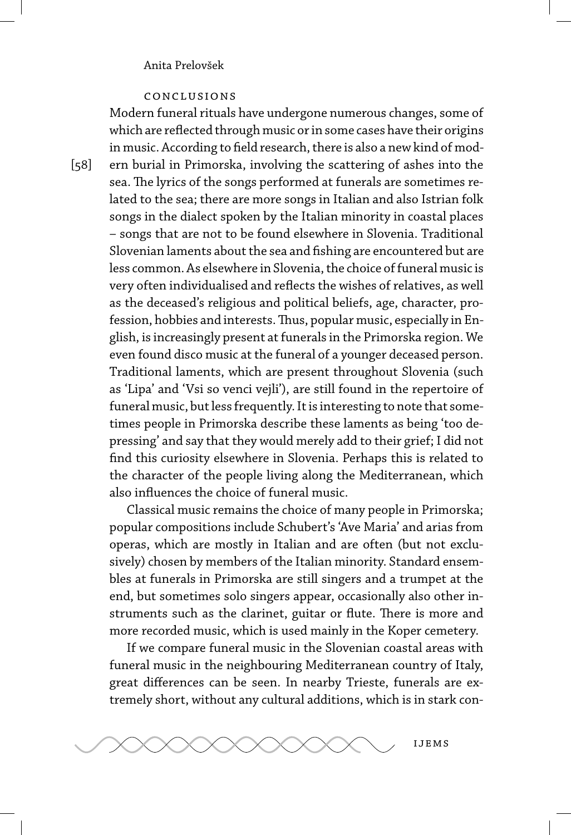#### conclusions

Modern funeral rituals have undergone numerous changes, some of which are reflected through music or in some cases have their origins in music. According to field research, there is also a new kind of modern burial in Primorska, involving the scattering of ashes into the sea. The lyrics of the songs performed at funerals are sometimes related to the sea; there are more songs in Italian and also Istrian folk songs in the dialect spoken by the Italian minority in coastal places – songs that are not to be found elsewhere in Slovenia. Traditional Slovenian laments about the sea and fishing are encountered but are less common. As elsewhere in Slovenia, the choice of funeral music is very often individualised and reflects the wishes of relatives, as well as the deceased's religious and political beliefs, age, character, profession, hobbies and interests.Thus, popular music, especially in English, is increasingly present at funerals in the Primorska region. We even found disco music at the funeral of a younger deceased person. Traditional laments, which are present throughout Slovenia (such as 'Lipa' and 'Vsi so venci vejli'), are still found in the repertoire of funeral music, but less frequently. It is interesting to note that sometimes people in Primorska describe these laments as being 'too depressing' and say that they would merely add to their grief; I did not find this curiosity elsewhere in Slovenia. Perhaps this is related to the character of the people living along the Mediterranean, which also influences the choice of funeral music.

Classical music remains the choice of many people in Primorska; popular compositions include Schubert's 'Ave Maria' and arias from operas, which are mostly in Italian and are often (but not exclusively) chosen by members of the Italian minority. Standard ensembles at funerals in Primorska are still singers and a trumpet at the end, but sometimes solo singers appear, occasionally also other instruments such as the clarinet, guitar or flute. There is more and more recorded music, which is used mainly in the Koper cemetery.

If we compare funeral music in the Slovenian coastal areas with funeral music in the neighbouring Mediterranean country of Italy, great differences can be seen. In nearby Trieste, funerals are extremely short, without any cultural additions, which is in stark con-



[58]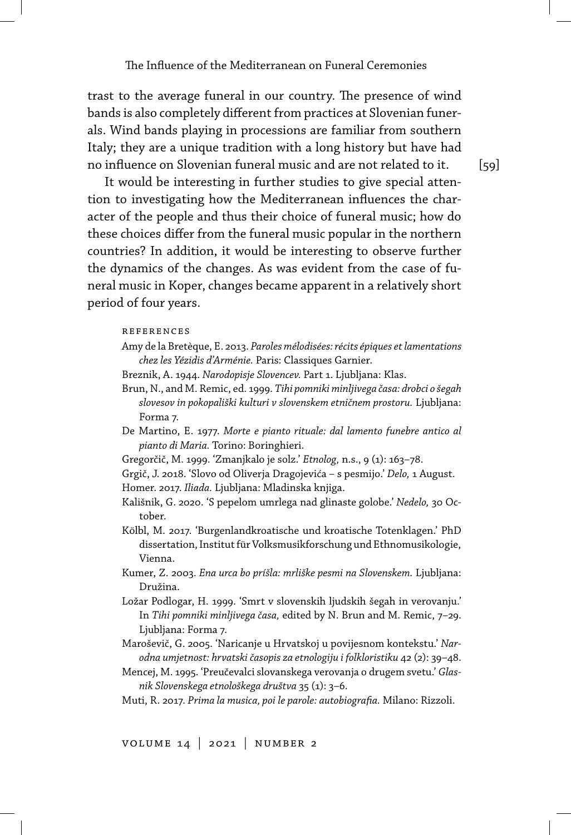trast to the average funeral in our country. The presence of wind bands is also completely different from practices at Slovenian funerals. Wind bands playing in processions are familiar from southern Italy; they are a unique tradition with a long history but have had no influence on Slovenian funeral music and are not related to it.

It would be interesting in further studies to give special attention to investigating how the Mediterranean influences the character of the people and thus their choice of funeral music; how do these choices differ from the funeral music popular in the northern countries? In addition, it would be interesting to observe further the dynamics of the changes. As was evident from the case of funeral music in Koper, changes became apparent in a relatively short period of four years.

#### references

- Amy de la Bretèque, E. 2013. *Paroles mélodisées: récits épiques et lamentations chez les Yézidis d'Arménie.* Paris: Classiques Garnier.
- Breznik, A. 1944. *Narodopisje Slovencev.* Part 1. Ljubljana: Klas.
- Brun, N., and M. Remic, ed. 1999. *Tihi pomniki minljivega časa: drobci o šegah slovesov in pokopališki kulturi v slovenskem etničnem prostoru.* Ljubljana: Forma 7.
- De Martino, E. 1977. *Morte e pianto rituale: dal lamento funebre antico al pianto di Maria.* Torino: Boringhieri.
- Gregorčič, M. 1999. 'Zmanjkalo je solz.' *Etnolog,* n.s., 9 (1): 163–78.
- Grgič, J. 2018. 'Slovo od Oliverja Dragojevića s pesmijo.' *Delo,* 1 August.
- Homer. 2017. *Iliada.* Ljubljana: Mladinska knjiga.
- Kališnik, G. 2020. 'S pepelom umrlega nad glinaste golobe.' *Nedelo,* 30 October.
- Kölbl, M. 2017. 'Burgenlandkroatische und kroatische Totenklagen.' PhD dissertation, Institut für Volksmusikforschung und Ethnomusikologie, Vienna.
- Kumer, Z. 2003. *Ena urca bo príšla: mrliške pesmi na Slovenskem.* Ljubljana: Družina.
- Ložar Podlogar, H. 1999. 'Smrt v slovenskih ljudskih šegah in verovanju.' In *Tihi pomniki minljivega časa,* edited by N. Brun and M. Remic, 7–29. Ljubljana: Forma 7.
- Maroševič, G. 2005. 'Naricanje u Hrvatskoj u povijesnom kontekstu.' *Narodna umjetnost: hrvatski časopis za etnologiju i folkloristiku* 42 (2): 39–48.
- Mencej, M. 1995. 'Preučevalci slovanskega verovanja o drugem svetu.' *Glasnik Slovenskega etnološkega društva* 35 (1): 3–6.
- Muti, R. 2017. *Prima la musica, poi le parole: autobiografia.* Milano: Rizzoli.

volume 14 | 2021 | number 2

 $[59]$